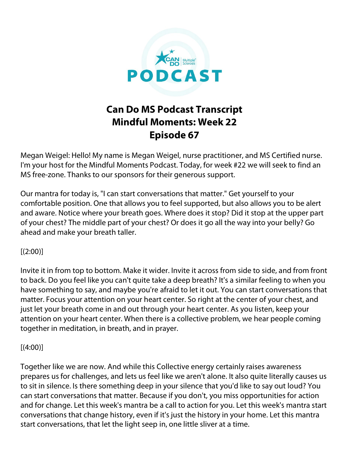

## **Can Do MS Podcast Transcript Mindful Moments: Week 22 Episode 67**

Megan Weigel: Hello! My name is Megan Weigel, nurse practitioner, and MS Certified nurse. I'm your host for the Mindful Moments Podcast. Today, for week #22 we will seek to find an MS free-zone. Thanks to our sponsors for their generous support.

Our mantra for today is, "I can start conversations that matter." Get yourself to your comfortable position. One that allows you to feel supported, but also allows you to be alert and aware. Notice where your breath goes. Where does it stop? Did it stop at the upper part of your chest? The middle part of your chest? Or does it go all the way into your belly? Go ahead and make your breath taller.

## $[(2:00)]$

Invite it in from top to bottom. Make it wider. Invite it across from side to side, and from front to back. Do you feel like you can't quite take a deep breath? It's a similar feeling to when you have something to say, and maybe you're afraid to let it out. You can start conversations that matter. Focus your attention on your heart center. So right at the center of your chest, and just let your breath come in and out through your heart center. As you listen, keep your attention on your heart center. When there is a collective problem, we hear people coming together in meditation, in breath, and in prayer.

## $[(4:00)]$

Together like we are now. And while this Collective energy certainly raises awareness prepares us for challenges, and lets us feel like we aren't alone. It also quite literally causes us to sit in silence. Is there something deep in your silence that you'd like to say out loud? You can start conversations that matter. Because if you don't, you miss opportunities for action and for change. Let this week's mantra be a call to action for you. Let this week's mantra start conversations that change history, even if it's just the history in your home. Let this mantra start conversations, that let the light seep in, one little sliver at a time.